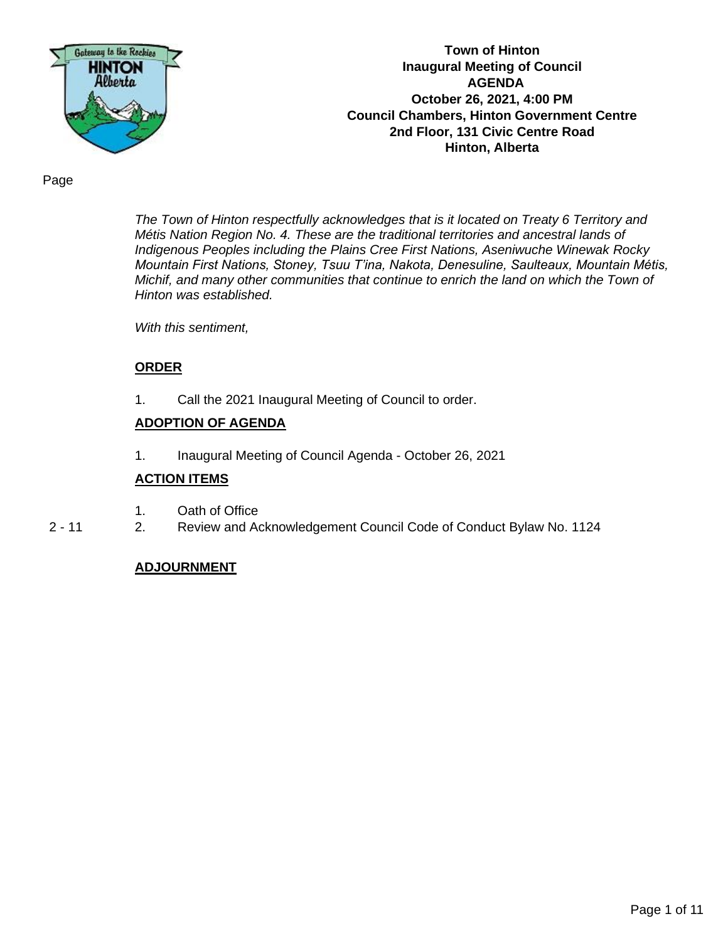

**Town of Hinton Inaugural Meeting of Council AGENDA October 26, 2021, 4:00 PM Council Chambers, Hinton Government Centre 2nd Floor, 131 Civic Centre Road Hinton, Alberta**

Page

*The Town of Hinton respectfully acknowledges that is it located on Treaty 6 Territory and Métis Nation Region No. 4. These are the traditional territories and ancestral lands of Indigenous Peoples including the Plains Cree First Nations, Aseniwuche Winewak Rocky Mountain First Nations, Stoney, Tsuu T'ina, Nakota, Denesuline, Saulteaux, Mountain Métis, Michif, and many other communities that continue to enrich the land on which the Town of Hinton was established.* 

*With this sentiment,* 

#### **ORDER**

1. Call the 2021 Inaugural Meeting of Council to order.

#### **ADOPTION OF AGENDA**

1. Inaugural Meeting of Council Agenda - October 26, 2021

#### **ACTION ITEMS**

- 1. Oath of Office
- 2 11 2. Review and Acknowledgement Council Code of Conduct Bylaw No. 1124

#### **ADJOURNMENT**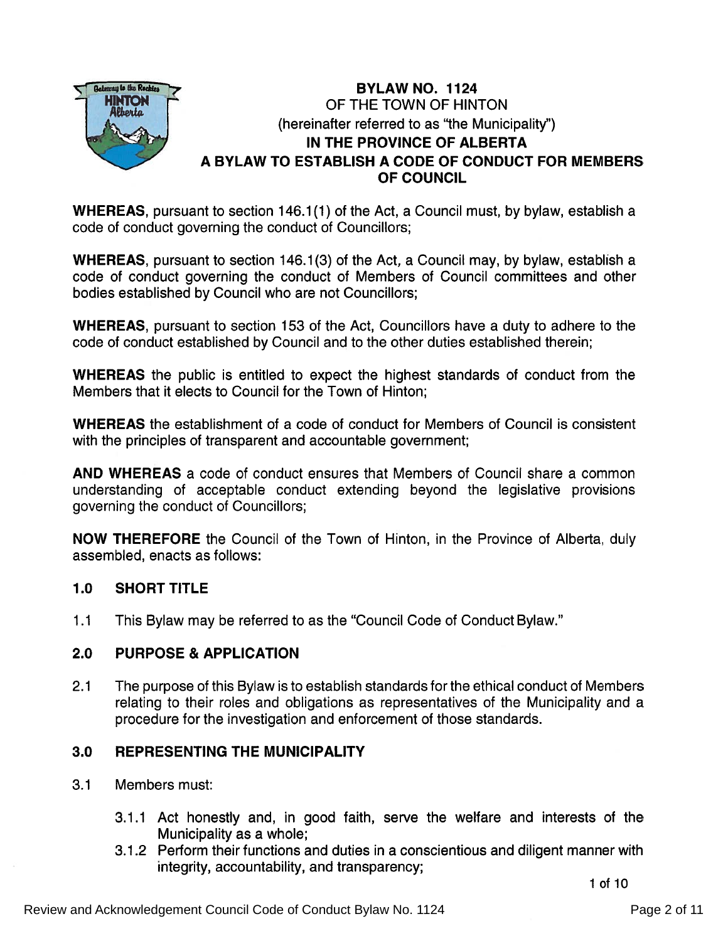

# **BYLAW NO. 1124** OF THE TOWN OF HINTON (hereinafter referred to as "the Municipality") IN THE PROVINCE OF ALBERTA A BYLAW TO ESTABLISH A CODE OF CONDUCT FOR MEMBERS OF COUNCIL

**WHEREAS**, pursuant to section 146.1(1) of the Act, a Council must, by bylaw, establish a code of conduct governing the conduct of Councillors;

WHEREAS, pursuan<sup>t</sup> to section 146.1(3) of the Act, <sup>a</sup> Council may, by bylaw, establish a code of conduct governing the conduct of Members of Council committees and other bodies established by Council who are not Councillors;

WHEREAS, pursuan<sup>t</sup> to section 153 of the Act, Councillors have <sup>a</sup> duty to adhere to the code of conduct established by Council and to the other duties established therein;

WHEREAS the public is entitled to expec<sup>t</sup> the highest standards of conduct from the Members that it elects to Council for the Town of Hinton;

**WHEREAS** the establishment of a code of conduct for Members of Council is consistent with the principles of transparent and accountable government;

**AND WHEREAS** a code of conduct ensures that Members of Council share a common understanding of acceptable conduct extending beyond the legislative provisions governing the conduct of Councillors;

NOW THEREFORE the Council of the Town of Hinton, in the Province of Alberta, duly assembled, enacts as follows:

# 1.0 SHORT TITLE

1 .1 This Bylaw may be referred to as the "Council Code of Conduct Bylaw."

# 2.0 PURPOSE & APPLICATION

2.1 The purpose of this Bylaw isto establish standards for the ethical conduct of Members relating to their roles and obligations as representatives of the Municipality and a procedure for the investigation and enforcement of those standards.

# 3.0 REPRESENTING THE MUNICIPALITY

- 3.1 Members must:
	- 3.1 .1 Act honestly and, in good faith, serve the welfare and interests of the Municipality as <sup>a</sup> whole;
	- 3.1 .2 Perform their functions and duties in <sup>a</sup> conscientious and diligent manner with integrity, accountability, and transparency;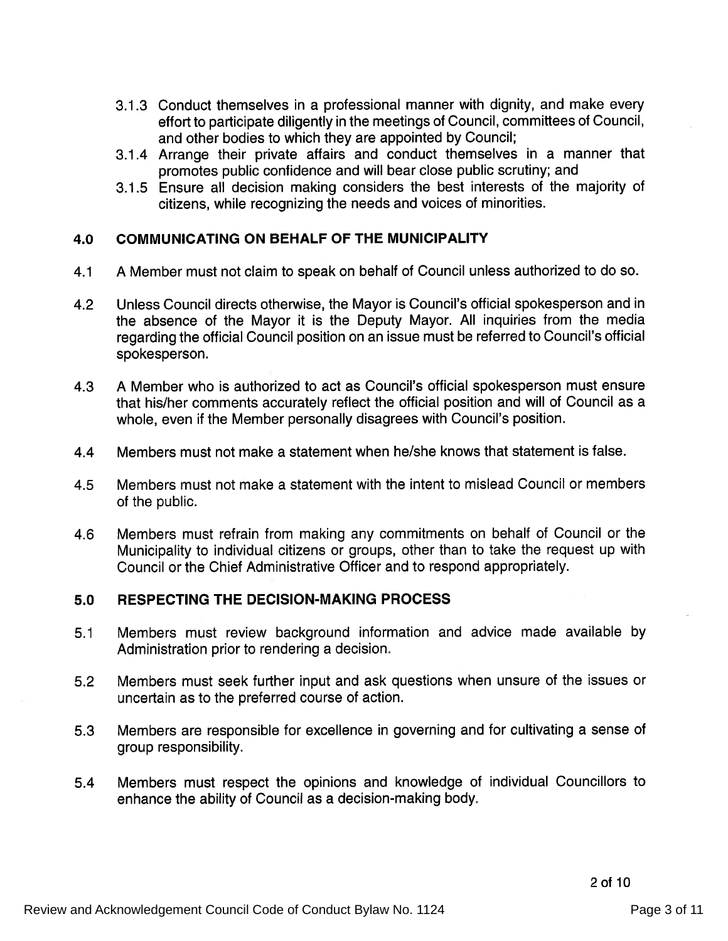- 3.1.3 Conduct themselves in <sup>a</sup> professional manner with dignity, and make every effort to participate diligently in the meetings of Council, committees of Council, and other bodies to which they are appointed by Council;
- 3.1 .4 Arrange their private affairs and conduct themselves in <sup>a</sup> manner that promotes public confidence and will bear close public scrutiny; and
- 3.1.5 Ensure all decision making considers the best interests of the majority of citizens, while recognizing the needs and voices of minorities.

## 4.0 COMMUNICATING ON BEHALF OF THE MUNICIPALITY

- 4.1 <sup>A</sup> Member must not claim to speak on behalf of Council unless authorized to do so.
- 4.2 Unless Council directs otherwise, the Mayor is Council's official spokesperson and in the absence of the Mayor it is the Deputy Mayor. All inquiries from the media regarding the official Council position on an issue must be referred to Council's official spokesperson.
- 4.3 A Member who is authorized to act as Council's official spokesperson must ensure that his/her comments accurately reflect the official position and will of Council as a whole, even if the Member personally disagrees with Council's position.
- 4.4 Members must not make <sup>a</sup> statement when he/she knows that statement is false.
- 4.5 Members must not make <sup>a</sup> statement with the intent to misJead Council or members of the public.
- 4.6 Members must refrain from making any commitments on behalf of Council or the Municipality to individual citizens or groups, other than to take the reques<sup>t</sup> up with Council or the Chief Administrative Officer and to respond appropriately.

## 5.0 RESPECTING THE DECISION-MAKING PROCESS

- 5.1 Members must review background information and advice made available by Administration prior to rendering <sup>a</sup> decision.
- 5.2 Members must seek further input and ask questions when unsure of the issues or uncertain as to the preferred course of action.
- 5.3 Members are responsible for excellence in governing and for cultivating <sup>a</sup> sense of group responsibility.
- 5.4 Members must respec<sup>t</sup> the opinions and knowledge of individual Councillors to enhance the ability of Council as <sup>a</sup> decision-making body.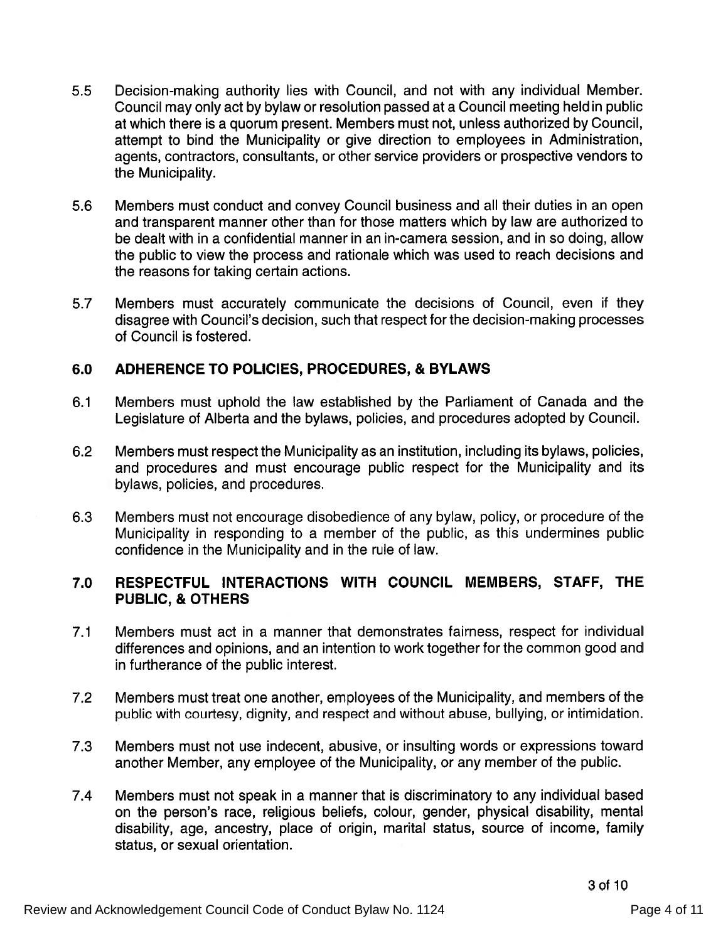- 5.5 Decision-making authority lies with Council, and not with any individual Member. Council may only act by bylaw or resolution passed at <sup>a</sup> Council meeting held in public at which there is a quorum present. Members must not, unless authorized by Council attempt to bind the Municipality or give direction to employees in Administration, agents, contractors, consultants, or other service providers or prospective vendors to the Municipality.
- 5.6 Members must conduct and convey Council business and all their duties in an open and transparent manner other than for those matters which by law are authorized to be dealt with in <sup>a</sup> confidential manner in an in-camera session, and in so doing, allow the public to view the process and rationale which was used to reach decisions and the reasons for taking certain actions.
- 5.7 Members must accurately communicate the decisions of Council, even if they disagree with Council's decision, such that respec<sup>t</sup> for the decision-making processes of Council is fostered.

## 6.0 ADHERENCE TO POLICIES, PROCEDURES, & BYLAWS

- 6.1 Members must uphold the law established by the Parliament of Canada and the Legislature of Alberta and the bylaws, policies, and procedures adopted by Council.
- 6.2 Members must respec<sup>t</sup> the Municipality as an institution, including its bylaws, policies, and procedures and must encourage public respec<sup>t</sup> for the Municipality and its bylaws, policies, and procedures.
- 6.3 Members must not encourage disobedience of any bylaw, policy, or procedure of the Municipality in responding to <sup>a</sup> member of the public, as this undermines public confidence in the Municipality and in the rule of law.

## 7.0 RESPECTFUL INTERACTIONS WITH COUNCIL MEMBERS, STAFF, THE PUBLIC, & OTHERS

- 7.1 Members must act in <sup>a</sup> manner that demonstrates fairness, respec<sup>t</sup> for individual differences and opinions, and an intention to work together for the common good and in furtherance of the public interest.
- 7.2 Members must treat one another, employees of the Municipality, and members of the public with courtesy, dignity, and respec<sup>t</sup> and without abuse, bullying, or intimidation.
- 7.3 Members must not use indecent, abusive, or insulting words or expressions toward another Member, any employee of the Municipality, or any member of the public.
- 7.4 Members must not speak in <sup>a</sup> manner that is discriminatory to any individual based on the person's race, religious beliefs, colour, gender, physical disability, mental disability, age, ancestry, <sup>p</sup>lace of origin, marital status, source of income, family status, or sexual orientation.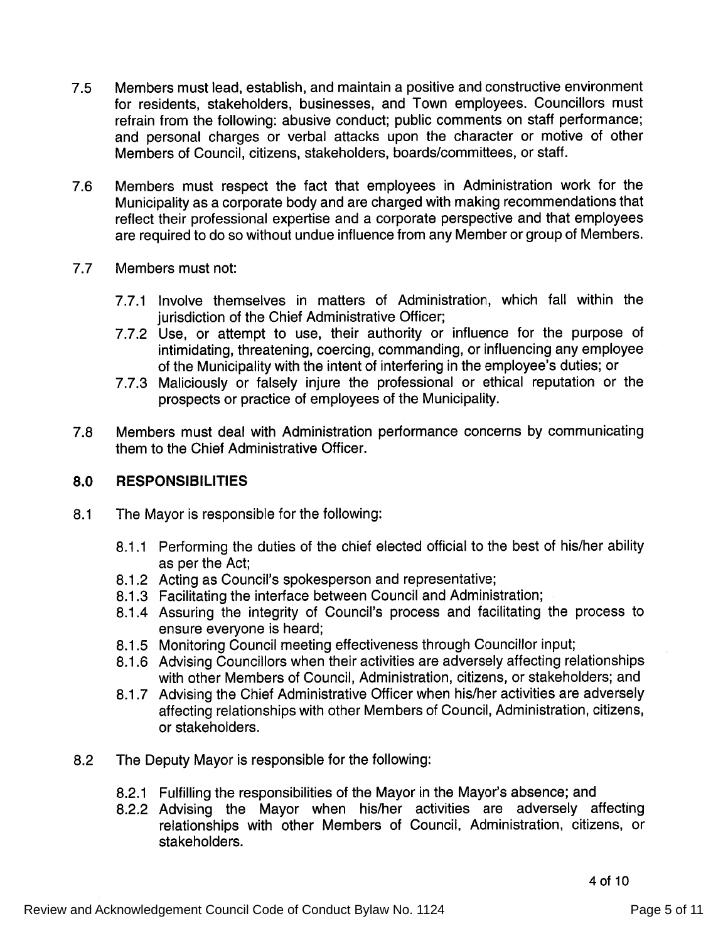- 7.5 Members must lead, establish, and maintain <sup>a</sup> positive and constructive environment for residents, stakeholders, businesses, and Town employees. Councillors must refrain from the following: abusive conduct; public comments on staff performance; and persona<sup>l</sup> charges or verbal attacks upon the character or motive of other Members of Council, citizens, stakeholders, boards/committees, or staff.
- 7.6 Members must respec<sup>t</sup> the fact that employees in Administration work for the Municipality as <sup>a</sup> corporate body and are charged with making recommendations that reflect their professional expertise and a corporate perspective and that employees are required to do so without undue influence from any Member or group of Members.
- 7.7 Members must not:
	- 7.7.1 Involve themselves in matters of Administration, which fall within the jurisdiction of the Chief Administrative Officer;
	- 7.7.2 Use, or attempt to use, their authority or influence for the purpose of intimidating, threatening, coercing, commanding, or influencing any employee of the Municipality with the intent of interfering in the employee's duties; or
	- 7.7.3 Maliciously or falsely injure the professional or ethical reputation or the prospects or practice of employees of the Municipality.
- 7.8 Members must deal with Administration performance concerns by communicating them to the Chief Administrative Officer.

# 8.0 RESPONSIBILITIES

- 8.1 The Mayor is responsible for the following:
	- 8.1.1 Performing the duties of the chief elected official to the best of his/her ability as per the Act;
	- 8.1 .2 Acting as Council's spokesperson and representative;
	- 8.1 .3 Facilitating the interface between Council and Administration;
	- 8.1 .4 Assuring the integrity of Council's process and facilitating the process to ensure everyone is heard;
	- 8.1 .5 Monitoring Council meeting effectiveness through Councillor input;
	- 8.1 .6 Advising Councillors when their activities are adversely affecting relationships with other Members of Council, Administration, citizens, or stakeholders; and
	- 8.1 .7 Advising the Chief Administrative Officer when his/her activities are adversely affecting relationships with other Members of Council, Administration, citizens, or stakeholders.
- 8.2 The Deputy Mayor is responsible for the following:
	- 8.2.1 Fulfilling the responsibilities of the Mayor in the Mayor's absence; and
	- 8.2.2 Advising the Mayor when his/her activities are adversely affecting relationships with other Members of Council, Administration, citizens, or stakeholders.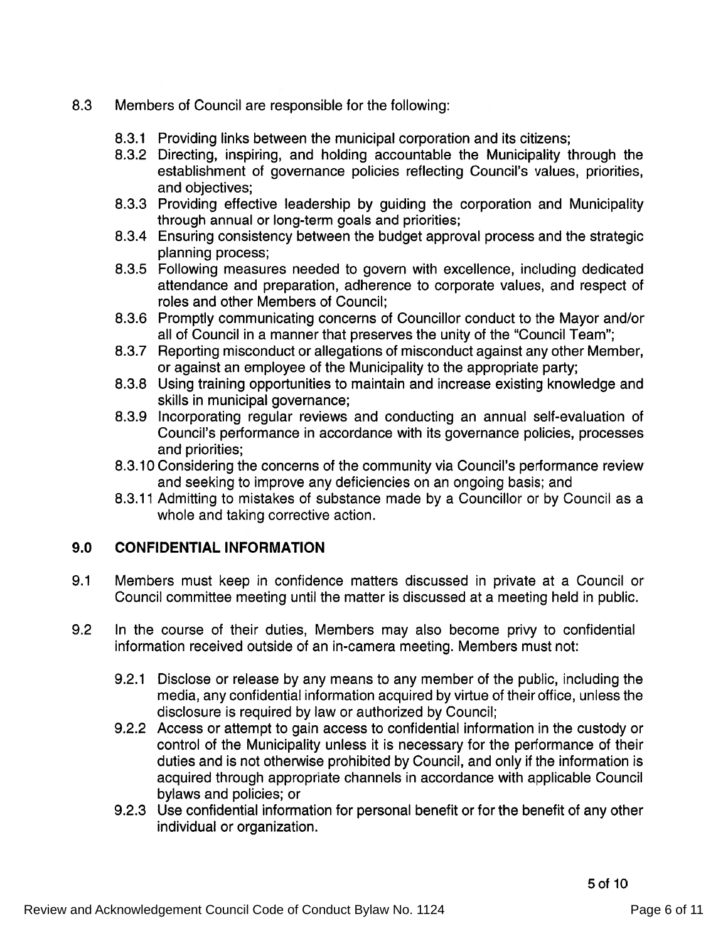## 8.3 Members of Council are responsible for the following:

- 8.3.1 Providing links between the municipal corporation and its citizens;
- 8.3.2 Directing, inspiring, and holding accountable the Municipality through the establishment of governance policies reflecting Council's values, priorities, and objectives;
- 8.3.3 Providing effective leadership by guiding the corporation and Municipality through annual or long-term goals and priorities;
- 8.3.4 Ensuring consistency between the budget approval process and the strategic planning process;
- 8.3.5 Following measures needed to govern with excellence, including dedicated attendance and preparation, adherence to corporate values, and respec<sup>t</sup> of roles and other Members of Council;
- 8.3.6 Promptly communicating concerns of Councillor conduct to the Mayor and/or all of Council in a manner that preserves the unity of the "Council Team"
- 8.3.7 Reporting misconduct or allegations of misconduct against any other Member, or against an employee of the Municipality to the appropriate party;
- 8.3.8 Using training opportunities to maintain and increase existing knowledge and skills in municipal governance;
- 8.3.9 Incorporating regular reviews and conducting an annual self-evaluation of Council's performance in accordance with its governance policies, processes and priorities;
- 8.3.10 Considering the concerns of the community via Council's performance review and seeking to improve any deficiencies on an ongoing basis; and
- 8.3.11 Admitting to mistakes of substance made by <sup>a</sup> Councillor or by Council as a whole and taking corrective action.

# 9.0 CONFIDENTIAL INFORMATION

- 9.1 Members must keep in confidence matters discussed in private at <sup>a</sup> Council or Council committee meeting until the matter is discussed at <sup>a</sup> meeting held in public.
- 9.2 In the course of their duties, Members may also become privy to confidential information received outside of an in-camera meeting. Members must not:
	- 9.2.1 Disclose or release by any means to any member of the public, including the media, any confidential information acquired by virtue of their office, unless the disclosure is required by law or authorized by Council;
	- 9.2.2 Access or attempt to gain access to confidential information in the custody or control of the Municipality unless it is necessary for the performance of their duties and is not otherwise prohibited by Council, and only if the information is acquired through appropriate channels in accordance with applicable Council bylaws and policies; or
	- 9.2.3 Use confidential information for personal benefit or for the benefit of any other individual or organization.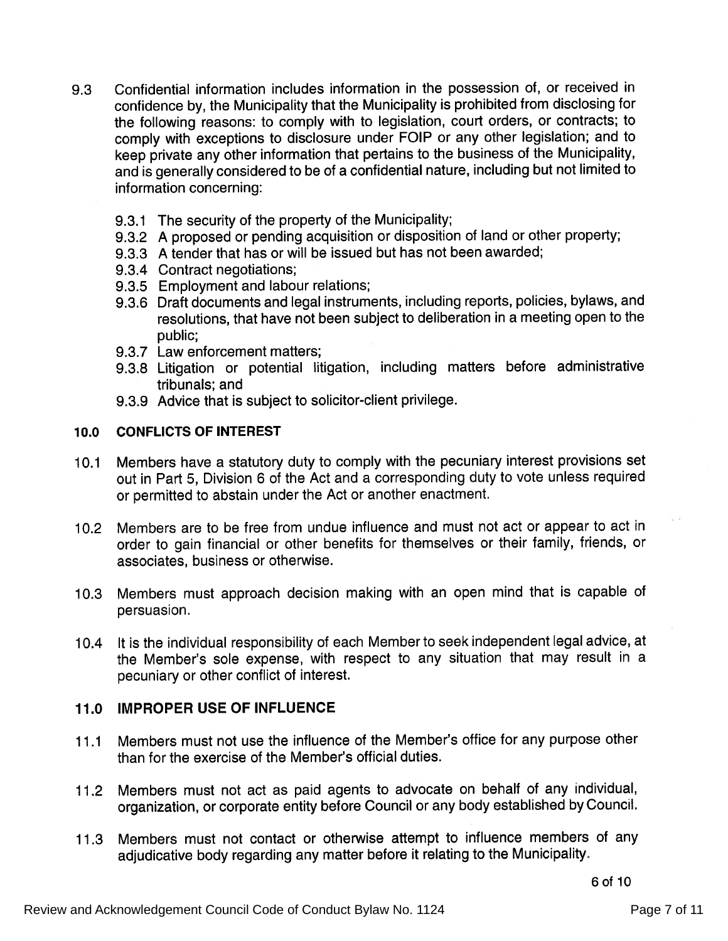- 9.3 Confidential information includes information in the possession of, or received in confidence by, the Municipality that the Municipality is prohibited from disclosing for the following reasons: to comply with to legislation, court orders, or contracts; to comply with exceptions to disclosure under FOIP or any other legislation; and to keep private any other information that pertains to the business of the Municipality, and is generally considered to be of <sup>a</sup> confidential nature, including but not limited to information concerning:
	- 9.3.1 The security of the property of the Municipality;
	- 9.3.2 <sup>A</sup> propose<sup>d</sup> or pending acquisition or disposition of land or other property;
	- 9.3.3 A tender that has or will be issued but has not been awarded;
	- 9.3.4 Contract negotiations;
	- 9.3.5 Employment and labour relations;
	- 9.3.6 Draft documents and legal instruments, including reports, policies, bylaws, and resolutions, that have not been subject to deliberation in <sup>a</sup> meeting open to the public;
	- 9.3.7 Law enforcement matters;
	- 9.3.8 Litigation or potential litigation, including matters before administrative tribunals; and
	- 9.3.9 Advice that is subject to solicitor-client privilege.

#### 10.0 CONFLICTS OF INTEREST

- 10.1 Members have <sup>a</sup> statutory duty to comply with the pecuniary interest provisions set out in Part 5, Division 6 of the Act and <sup>a</sup> corresponding duty to vote unless required or permitted to abstain under the Act or another enactment.
- 10.2 Members are to be tree from undue influence and must not act or appear to act in order to gain financial or other benefits for themselves or their family, friends, or associates, business or otherwise.
- 10.3 Members must approac<sup>h</sup> decision making with an open mind that is capable of persuasion.
- 10.4 It is the individual responsibility of each Member to seek independent legal advice, at the Member's sole expense, with respec<sup>t</sup> to any situation that may result in a pecuniary or other conflict of interest.

#### 11.0 IMPROPER USE OF INFLUENCE

- 11 .1 Members must not use the influence of the Member's office for any purpose other than for the exercise of the Member's official duties.
- 11.2 Members must not act as paid agents to advocate on behalf of any individual, organization, or corporate entity before Council or any body established by Council.
- 11.3 Members must not contact or otherwise attempt to influence members of any adjudicative body regarding any matter before it relating to the Municipality.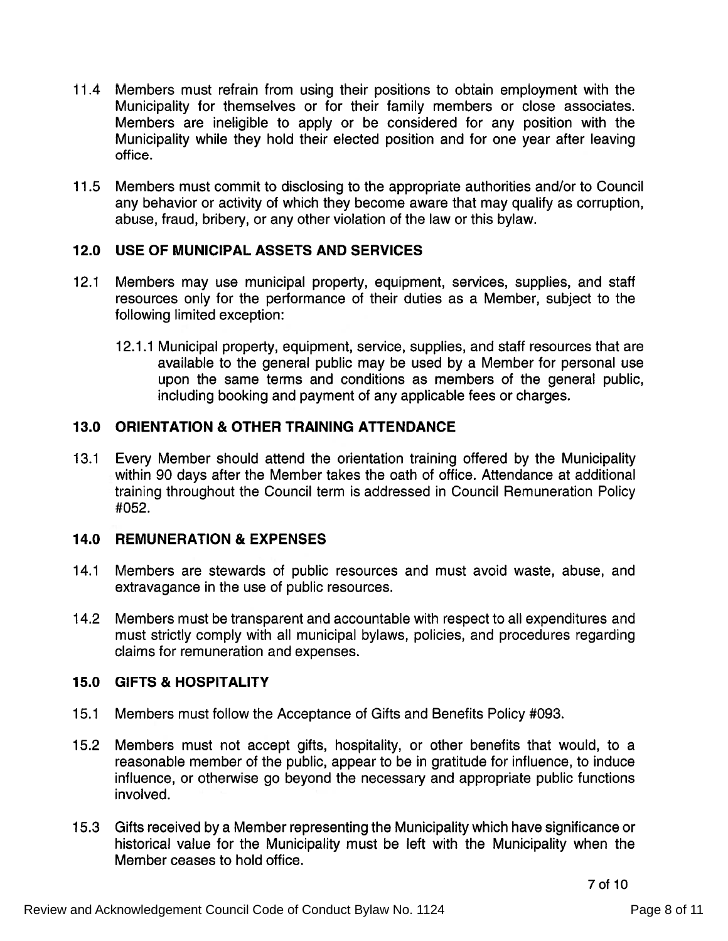- 11.4 Members must refrain from using their positions to obtain employment with the Municipality for themselves or for their family members or close associates. Members are ineligible to apply or be considered for any position with the Municipality while they hold their elected position and for one year after leaving office.
- 11 .5 Members must commit to disclosing to the appropriate authorities and/or to Council any behavior or activity of which they become aware that may qualify as corruption, abuse, fraud, bribery, or any other violation of the law or this bylaw.

## 12.0 USE OF MUNICIPAL ASSETS AND SERVICES

- 12.1 Members may use municipal property, equipment, services, supplies, and staff resources only for the performance of their duties as <sup>a</sup> Member, subject to the following limited exception:
	- 12.1.1 Municipal property, equipment, service, supplies, and staff resources that are available to the general public may be used by <sup>a</sup> Member for personal use upon the same terms and conditions as members of the general public, including booking and paymen<sup>t</sup> of any applicable fees or charges.

# 13.0 ORIENTATION & OTHER TRAINING ATTENDANCE

13.1 Every Member should attend the orientation training offered by the Municipality within 90 days after the Member takes the oath of office. Attendance at additional training throughout the Council term is addressed in Council Remuneration Policy #052.

# 14.0 REMUNERATION & EXPENSES

- 14.1 Members are stewards of public resources and must avoid waste, abuse, and extravagance in the use of public resources.
- 14.2 Members must be transparent and accountable with respec<sup>t</sup> to all expenditures and must strictly comply with all municipal bylaws, policies, and procedures regarding claims for remuneration and expenses.

# 15.0 GIFTS & HOSPITALITY

- 15.1 Members must follow the Acceptance of Gifts and Benefits Policy #093.
- 15.2 Members must not accep<sup>t</sup> gifts, hospitality, or other benefits that would, to a reasonable member of the public, appear to be in gratitude for influence, to induce influence, or otherwise go beyond the necessary and appropriate public functions involved.
- 1 5.3 Gifts received by <sup>a</sup> Member representing the Municipality which have significance or historical value for the Municipality must be left with the Municipality when the Member ceases to hold office.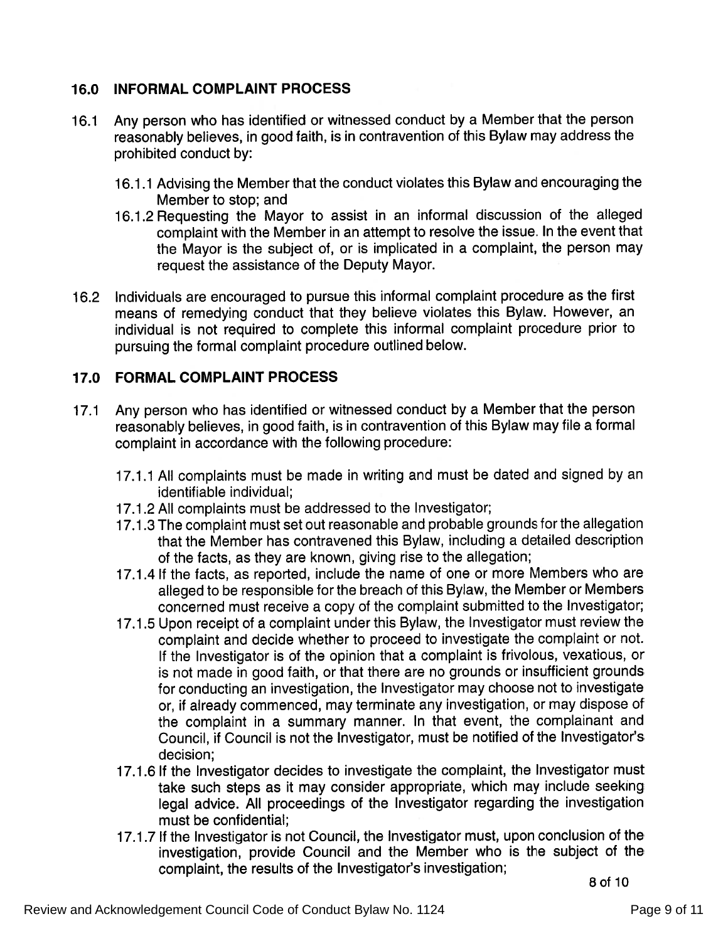## 76.0 INFORMAL COMPLAINT PROCESS

- 16.1 Any person who has identified or witnessed conduct by <sup>a</sup> Member that the person reasonably believes, in goo<sup>d</sup> faith, is in contravention of this Bylaw may address the prohibited conduct by:
	- 16.1.1 Advising the Member that the conduct violates this Bylaw and encouraging the Member to stop; and
	- 16.1.2 Requesting the Mayor to assist in an informal discussion of the alleged complaint with the Member in an attempt to resolve the issue. In the event that the Mayor is the subject of, or is implicated in <sup>a</sup> complaint, the person may reques<sup>t</sup> the assistance of the Deputy Mayor.
- <sup>1</sup> 6.2 Individuals are encourage<sup>d</sup> to pursue this informal complaint procedure as the first means of remedying conduct that they believe violates this Bylaw. However, an individual is not required to complete this informal complaint procedure prior to pursuing the formal complaint procedure outlined below.

### 17.0 FORMAL COMPLAINT PROCESS

- 17.1 Any person who has identified or witnessed conduct by <sup>a</sup> Member that the person reasonably believes, in goo<sup>d</sup> faith, is in contravention of this Bylaw may file <sup>a</sup> formal complaint in accordance with the following procedure:
	- 17.1.1 All complaints must be made in writing and must be dated and signed by an identifiable individual;
	- 17.1 .2 All complaints must be addressed to the Investigator;
	- 17.1.3 The complaint must set out reasonable and probable grounds for the allegation that the Member has contravened this Bylaw, including <sup>a</sup> detailed description of the facts, as they are known, giving rise to the allegation;
	- 17.1.4 If the facts, as reported, include the name of one or more Members who are alleged to be responsible for the breach of this Bylaw, the Member or Members concerned must receive <sup>a</sup> copy of the complaint submitted to the Investigator;
	- 17.1 .5 Upon receipt of <sup>a</sup> complaint under this Bylaw, the Investigator must review the complaint and decide whether to procee<sup>d</sup> to investigate the complaint or not. If the Investigator is of the opinion that <sup>a</sup> complaint is frivolous, vexatious, or is not made in goo<sup>d</sup> faith, or that there are no grounds or insufficient grounds for conducting an investigation, the Investigator may choose not to investigate or, if already commenced, may terminate any investigation, or may dispose of the complaint in <sup>a</sup> summary manner. In that event, the complainant and Council, if Council is not the Investigator, must be notified of the Investigator's decision;
	- 17.1.6 If the Investigator decides to investigate the complaint, the Investigator must take such steps as it may consider appropriate, which may include seeking legal advice. All proceedings of the Investigator regarding the investigation must be confidential;
	- 17.1.7 If the Investigator is not Council, the Investigator must, upon conclusion of the investigation, provide Council and the Member who is the subject of the complaint, the results of the Investigator's investigation;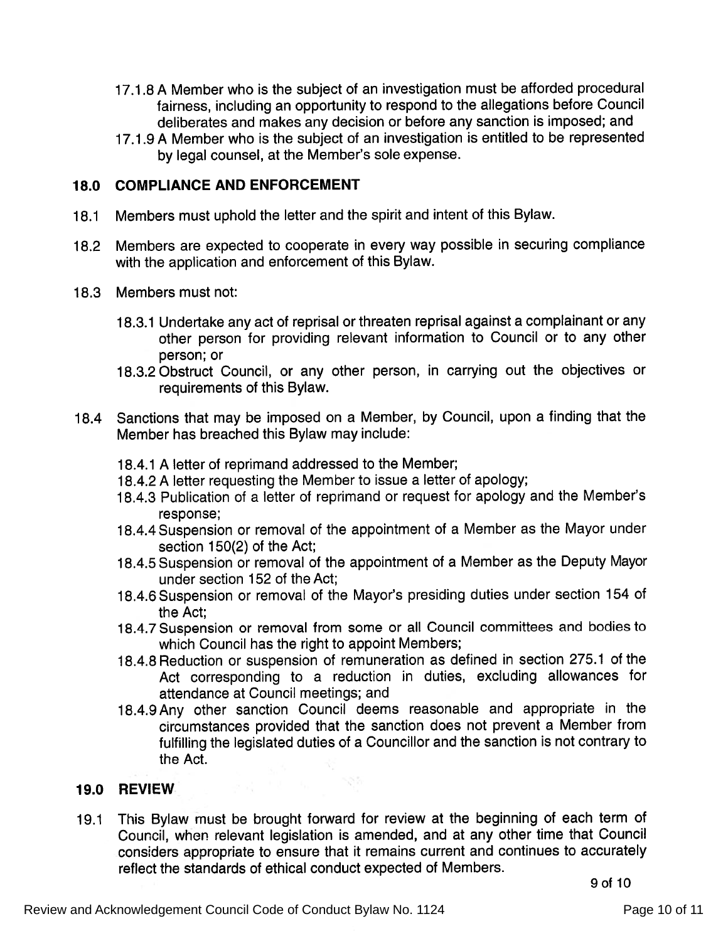- 17.1.8 <sup>A</sup> Member who is the subject of an investigation must be afforded procedural fairness, including an opportunity to respon<sup>d</sup> to the allegations before Council deliberates and makes any decision or before any sanction is imposed; and
- 17.1 .9 <sup>A</sup> Member who is the subject of an investigation is entitled to be represented by legal counsel, at the Member's sole expense.

## 18.0 COMPLIANCE AND ENFORCEMENT

- 18.1 Members must uphold the letter and the spirit and intent of this Bylaw.
- 18.2 Members are expected to cooperate in every way possible in securing compliance with the application and enforcement of this Bylaw.
- 18.3 Members must not:
	- 18.3.1 Undertake any act of reprisal or threaten reprisal against <sup>a</sup> complainant or any other person for providing relevant information to Council or to any other person; or
	- 18.3.2Obstruct Council, or any other person, in carrying out the objectives or requirements of this Bylaw.
- 18.4 Sanctions that may be imposed on <sup>a</sup> Member, by Council, upon <sup>a</sup> finding that the Member has breached this Bylaw may include:
	- 18.4.1 <sup>A</sup> letter of reprimand addressed to the Member;
	- 18.4.2 A letter requesting the Member to issue a letter of apology
	- 18.4.3 Publication of a letter of reprimand or request for apology and the Member's response;
	- 18.4.4 Suspension or removal of the appointment of <sup>a</sup> Member as the Mayor under section 150(2) of the Act;
	- 18.4.5 Suspension or removal of the appointment of <sup>a</sup> Member as the Deputy Mayor under section 152 of the Act;
	- 18.4.6 Suspension or removal of the Mayor's presiding duties under section <sup>154</sup> of the Act;
	- 18.4.7 Suspension or removal from some or all Council committees and bodies to which Council has the right to appoint Members;
	- 18.4.8 Reduction or suspension of remuneration as defined in section 275.1 of the Act corresponding to <sup>a</sup> reduction in duties, excluding allowances for attendance at Council meetings; and
	- 18.4.9Any other sanction Council deems reasonable and appropriate in the circumstances provided that the sanction does not preven<sup>t</sup> <sup>a</sup> Member from fulfilling the legislated duties of <sup>a</sup> Councillor and the sanction is not contrary to the Act.

### 19.0 REVIEW

19.1 This Bylaw must be brought forward for review at the beginning of each term of Council, when relevant legislation is amended, and at any other time that Council considers appropriate to ensure that it remains current and continues to accurately reflect the standards of ethical conduct expected of Members.